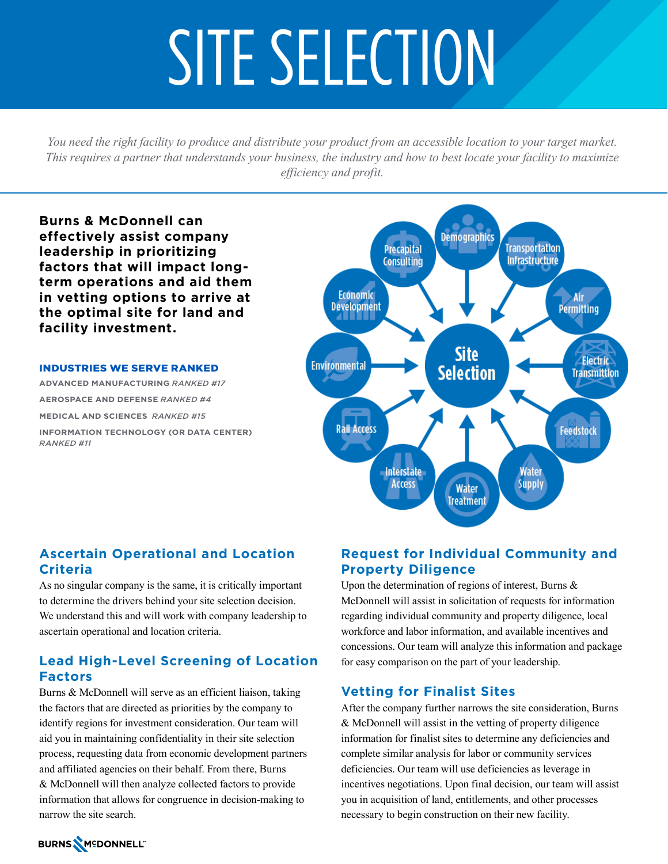# SITE SELECTION

*You need the right facility to produce and distribute your product from an accessible location to your target market. This requires a partner that understands your business, the industry and how to best locate your facility to maximize efficiency and profit.* 

**Burns & McDonnell can effectively assist company leadership in prioritizing factors that will impact longterm operations and aid them in vetting options to arrive at the optimal site for land and facility investment.** 

INDUSTRIES WE SERVE RANKED **ADVANCED MANUFACTURING** *RANKED #17* **AEROSPACE AND DEFENSE** *RANKED #4* **MEDICAL AND SCIENCES** *RANKED #15*  **INFORMATION TECHNOLOGY (OR DATA CENTER)** *RANKED #11*



# **Ascertain Operational and Location Criteria**

As no singular company is the same, it is critically important to determine the drivers behind your site selection decision. We understand this and will work with company leadership to ascertain operational and location criteria.

# **Lead High-Level Screening of Location Factors**

Burns & McDonnell will serve as an efficient liaison, taking the factors that are directed as priorities by the company to identify regions for investment consideration. Our team will aid you in maintaining confidentiality in their site selection process, requesting data from economic development partners and affiliated agencies on their behalf. From there, Burns & McDonnell will then analyze collected factors to provide information that allows for congruence in decision-making to narrow the site search.

# **Request for Individual Community and Property Diligence**

Upon the determination of regions of interest, Burns & McDonnell will assist in solicitation of requests for information regarding individual community and property diligence, local workforce and labor information, and available incentives and concessions. Our team will analyze this information and package for easy comparison on the part of your leadership.

# **Vetting for Finalist Sites**

After the company further narrows the site consideration, Burns & McDonnell will assist in the vetting of property diligence information for finalist sites to determine any deficiencies and complete similar analysis for labor or community services deficiencies. Our team will use deficiencies as leverage in incentives negotiations. Upon final decision, our team will assist you in acquisition of land, entitlements, and other processes necessary to begin construction on their new facility.

# BURNS MEDONNELL"